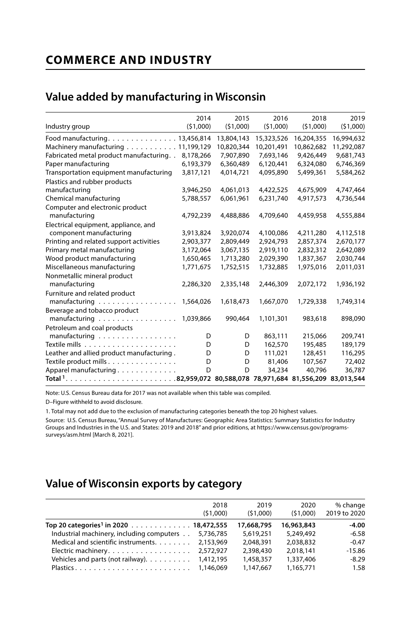# **COMMERCE AND INDUSTRY**

## **Value added by manufacturing in Wisconsin**

|                                                           | 2014      | 2015       | 2016       | 2018       | 2019       |
|-----------------------------------------------------------|-----------|------------|------------|------------|------------|
| Industry group                                            | (51,000)  | (51,000)   | (51,000)   | (51,000)   | (51,000)   |
| Food manufacturing. 13,456,814                            |           | 13,804,143 | 15,323,526 | 16,204,355 | 16,994,632 |
| Machinery manufacturing 11,199,129                        |           | 10,820,344 | 10,201,491 | 10.862.682 | 11,292,087 |
| Fabricated metal product manufacturing. .                 | 8,178,266 | 7,907,890  | 7,693,146  | 9,426,449  | 9,681,743  |
| Paper manufacturing                                       | 6,193,379 | 6,360,489  | 6,120,441  | 6,324,080  | 6,746,369  |
| Transportation equipment manufacturing                    | 3,817,121 | 4,014,721  | 4,095,890  | 5,499,361  | 5,584,262  |
| Plastics and rubber products                              |           |            |            |            |            |
| manufacturing                                             | 3,946,250 | 4,061,013  | 4,422,525  | 4,675,909  | 4,747,464  |
| Chemical manufacturing                                    | 5,788,557 | 6,061,961  | 6,231,740  | 4,917,573  | 4,736,544  |
| Computer and electronic product                           |           |            |            |            |            |
| manufacturing                                             | 4,792,239 | 4,488,886  | 4,709,640  | 4,459,958  | 4,555,884  |
| Electrical equipment, appliance, and                      |           |            |            |            |            |
| component manufacturing                                   | 3,913,824 | 3,920,074  | 4,100,086  | 4,211,280  | 4,112,518  |
| Printing and related support activities                   | 2,903,377 | 2,809,449  | 2,924,793  | 2,857,374  | 2,670,177  |
| Primary metal manufacturing                               | 3,172,064 | 3,067,135  | 2,919,110  | 2,832,312  | 2,642,089  |
| Wood product manufacturing                                | 1,650,465 | 1,713,280  | 2,029,390  | 1,837,367  | 2,030,744  |
| Miscellaneous manufacturing                               | 1,771,675 | 1,752,515  | 1,732,885  | 1,975,016  | 2,011,031  |
| Nonmetallic mineral product                               |           |            |            |            |            |
| manufacturing                                             | 2,286,320 | 2,335,148  | 2,446,309  | 2,072,172  | 1,936,192  |
| Furniture and related product                             |           |            |            |            |            |
| $manufacturing \dots \dots \dots \dots \dots \dots \dots$ | 1,564,026 | 1,618,473  | 1,667,070  | 1,729,338  | 1,749,314  |
| Beverage and tobacco product                              |           |            |            |            |            |
| $manufacturing \ldots \ldots \ldots \ldots \ldots$        | 1,039,866 | 990,464    | 1,101,301  | 983,618    | 898,090    |
| Petroleum and coal products                               |           |            |            |            |            |
| manufacturing                                             | D         | D          | 863,111    | 215,066    | 209,741    |
|                                                           | D         | D          | 162,570    | 195,485    | 189,179    |
| Leather and allied product manufacturing.                 | D         | D          | 111,021    | 128,451    | 116,295    |
| Textile product mills                                     | D         | D          | 81,406     | 107,567    | 72,402     |
| Apparel manufacturing                                     | D         | D          | 34,234     | 40,796     | 36,787     |
|                                                           |           |            |            |            |            |
|                                                           |           |            |            |            |            |

Note: U.S. Census Bureau data for 2017 was not available when this table was compiled.

D–Figure withheld to avoid disclosure.

1. Total may not add due to the exclusion of manufacturing categories beneath the top 20 highest values.

Source: U.S. Census Bureau, "Annual Survey of Manufactures: Geographic Area Statistics: Summary Statistics for Industry Groups and Industries in the U.S. and States: 2019 and 2018" and prior editions, at https://www.census.gov/programssurveys/asm.html [March 8, 2021].

## **Value of Wisconsin exports by category**

|                                                   | 2018<br>(51.000) | 2019<br>(51.000) | 2020<br>(51.000) | % change<br>2019 to 2020 |
|---------------------------------------------------|------------------|------------------|------------------|--------------------------|
| Top 20 categories <sup>1</sup> in 2020 18,472,555 |                  | 17,668,795       | 16,963,843       | $-4.00$                  |
| Industrial machinery, including computers         | 5.736.785        | 5,619,251        | 5.249.492        | $-6.58$                  |
| Medical and scientific instruments.               | 2.153.969        | 2.048.391        | 2.038.832        | $-0.47$                  |
| Electric machinery.                               | 2,572,927        | 2.398.430        | 2.018.141        | $-15.86$                 |
| Vehicles and parts (not railway). $\dots \dots$   | 1,412,195        | 1,458,357        | 1,337,406        | $-8.29$                  |
| Plastics 1.146.069                                |                  | 1.147.667        | 1.165.771        | 1.58                     |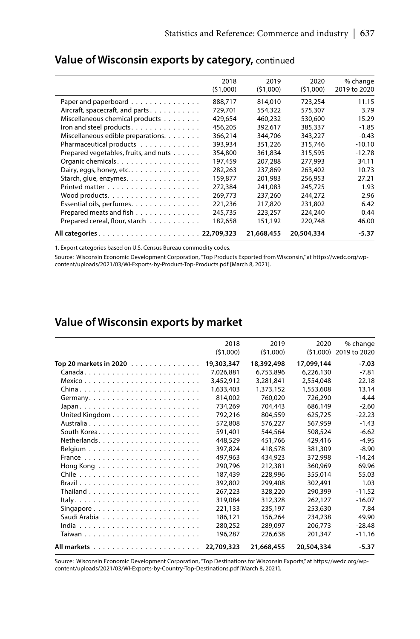|                                       | 2018     | 2019       | 2020       | % change     |
|---------------------------------------|----------|------------|------------|--------------|
|                                       | (51,000) | (51,000)   | (51,000)   | 2019 to 2020 |
| Paper and paperboard                  | 888.717  | 814,010    | 723.254    | $-11.15$     |
| Aircraft, spacecraft, and parts       | 729.701  | 554,322    | 575.307    | 3.79         |
| Miscellaneous chemical products       | 429,654  | 460,232    | 530,600    | 15.29        |
| Iron and steel products.              | 456.205  | 392.617    | 385,337    | $-1.85$      |
| Miscellaneous edible preparations.    | 366,214  | 344,706    | 343,227    | $-0.43$      |
| Pharmaceutical products               | 393,934  | 351,226    | 315,746    | $-10.10$     |
| Prepared vegetables, fruits, and nuts | 354,800  | 361.834    | 315,595    | $-12.78$     |
| Organic chemicals.                    | 197,459  | 207,288    | 277,993    | 34.11        |
| Dairy, eggs, honey, etc.              | 282,263  | 237.869    | 263,402    | 10.73        |
| Starch, glue, enzymes.                | 159,877  | 201,983    | 256,953    | 27.21        |
|                                       | 272,384  | 241,083    | 245,725    | 1.93         |
|                                       | 269.773  | 237,260    | 244.272    | 2.96         |
| Essential oils, perfumes.             | 221,236  | 217,820    | 231.802    | 6.42         |
| Prepared meats and fish               | 245.735  | 223.257    | 224.240    | 0.44         |
| Prepared cereal, flour, starch        | 182,658  | 151,192    | 220,748    | 46.00        |
|                                       |          | 21,668,455 | 20,504,334 | $-5.37$      |
|                                       |          |            |            |              |

### **Value of Wisconsin exports by category,** continued

1. Export categories based on U.S. Census Bureau commodity codes.

Source: Wisconsin Economic Development Corporation, "Top Products Exported from Wisconsin," at https://wedc.org/wpcontent/uploads/2021/03/WI-Exports-by-Product-Top-Products.pdf [March 8, 2021].

#### **Value of Wisconsin exports by market**

|                                                          | 2018       | 2019       | 2020       | % change     |
|----------------------------------------------------------|------------|------------|------------|--------------|
|                                                          | (51,000)   | (51,000)   | (51,000)   | 2019 to 2020 |
|                                                          |            |            |            |              |
| Top 20 markets in 2020                                   | 19,303,347 | 18,392,498 | 17,099,144 | $-7.03$      |
|                                                          | 7,026,881  | 6,753,896  | 6,226,130  | $-7.81$      |
|                                                          | 3,452,912  | 3,281,841  | 2,554,048  | $-22.18$     |
| $China \ldots \ldots \ldots \ldots \ldots \ldots \ldots$ | 1,633,403  | 1,373,152  | 1,553,608  | 13.14        |
|                                                          | 814,002    | 760.020    | 726,290    | $-4.44$      |
|                                                          | 734,269    | 704,443    | 686,149    | $-2.60$      |
|                                                          | 792,216    | 804,559    | 625,725    | $-22.23$     |
|                                                          | 572,808    | 576.227    | 567,959    | $-1.43$      |
|                                                          | 591,401    | 544,564    | 508,524    | $-6.62$      |
|                                                          | 448,529    | 451.766    | 429,416    | $-4.95$      |
|                                                          | 397.824    | 418,578    | 381,309    | $-8.90$      |
|                                                          | 497,963    | 434,923    | 372,998    | $-14.24$     |
| Hong Kong                                                | 290,796    | 212,381    | 360,969    | 69.96        |
|                                                          | 187,439    | 228,996    | 355,014    | 55.03        |
|                                                          | 392.802    | 299,408    | 302.491    | 1.03         |
|                                                          | 267,223    | 328,220    | 290,399    | $-11.52$     |
|                                                          | 319,084    | 312,328    | 262,127    | $-16.07$     |
| Singapore                                                | 221,133    | 235,197    | 253,630    | 7.84         |
|                                                          | 186,121    | 156.264    | 234,238    | 49.90        |
|                                                          | 280,252    | 289,097    | 206,773    | $-28.48$     |
|                                                          | 196,287    | 226,638    | 201,347    | $-11.16$     |
|                                                          | 22,709,323 | 21,668,455 | 20,504,334 | $-5.37$      |

Source: Wisconsin Economic Development Corporation, "Top Destinations for Wisconsin Exports," at https://wedc.org/wpcontent/uploads/2021/03/WI-Exports-by-Country-Top-Destinations.pdf [March 8, 2021].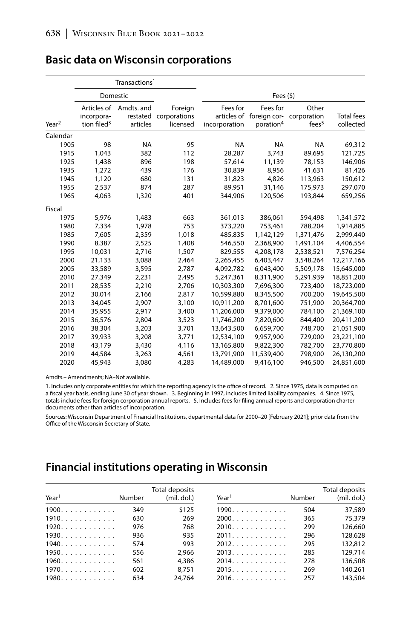|                   |                                                      | Transactions <sup>1</sup> |                                              |                           |                                                               |                                           |                                |
|-------------------|------------------------------------------------------|---------------------------|----------------------------------------------|---------------------------|---------------------------------------------------------------|-------------------------------------------|--------------------------------|
|                   | Domestic                                             |                           |                                              |                           | Fees $(5)$                                                    |                                           |                                |
| Year <sup>2</sup> | Articles of<br>incorpora-<br>tion filed <sup>3</sup> | Amdts, and<br>articles    | Foreign<br>restated corporations<br>licensed | Fees for<br>incorporation | Fees for<br>articles of foreign cor-<br>poration <sup>4</sup> | Other<br>corporation<br>fees <sup>5</sup> | <b>Total fees</b><br>collected |
| Calendar          |                                                      |                           |                                              |                           |                                                               |                                           |                                |
| 1905              | 98                                                   | <b>NA</b>                 | 95                                           | <b>NA</b>                 | <b>NA</b>                                                     | <b>NA</b>                                 | 69,312                         |
| 1915              | 1.043                                                | 382                       | 112                                          | 28.287                    | 3.743                                                         | 89.695                                    | 121,725                        |
| 1925              | 1,438                                                | 896                       | 198                                          | 57,614                    | 11,139                                                        | 78,153                                    | 146,906                        |
| 1935              | 1.272                                                | 439                       | 176                                          | 30.839                    | 8.956                                                         | 41.631                                    | 81,426                         |
| 1945              | 1,120                                                | 680                       | 131                                          | 31,823                    | 4.826                                                         | 113,963                                   | 150,612                        |
| 1955              | 2,537                                                | 874                       | 287                                          | 89,951                    | 31,146                                                        | 175,973                                   | 297,070                        |
| 1965              | 4,063                                                | 1,320                     | 401                                          | 344,906                   | 120,506                                                       | 193,844                                   | 659,256                        |
| Fiscal            |                                                      |                           |                                              |                           |                                                               |                                           |                                |
| 1975              | 5,976                                                | 1,483                     | 663                                          | 361,013                   | 386,061                                                       | 594,498                                   | 1,341,572                      |
| 1980              | 7,334                                                | 1,978                     | 753                                          | 373,220                   | 753,461                                                       | 788,204                                   | 1,914,885                      |
| 1985              | 7,605                                                | 2,359                     | 1,018                                        | 485,835                   | 1,142,129                                                     | 1,371,476                                 | 2,999,440                      |
| 1990              | 8,387                                                | 2,525                     | 1,408                                        | 546,550                   | 2,368,900                                                     | 1,491,104                                 | 4,406,554                      |
| 1995              | 10.031                                               | 2.716                     | 1.507                                        | 829.555                   | 4,208,178                                                     | 2,538,521                                 | 7,576,254                      |
| 2000              | 21,133                                               | 3,088                     | 2,464                                        | 2,265,455                 | 6,403,447                                                     | 3,548,264                                 | 12,217,166                     |
| 2005              | 33,589                                               | 3,595                     | 2,787                                        | 4,092,782                 | 6,043,400                                                     | 5,509,178                                 | 15,645,000                     |
| 2010              | 27,349                                               | 2,231                     | 2,495                                        | 5,247,361                 | 8,311,900                                                     | 5,291,939                                 | 18,851,200                     |
| 2011              | 28,535                                               | 2,210                     | 2,706                                        | 10,303,300                | 7,696,300                                                     | 723,400                                   | 18,723,000                     |
| 2012              | 30,014                                               | 2,166                     | 2,817                                        | 10,599,880                | 8,345,500                                                     | 700,200                                   | 19,645,500                     |
| 2013              | 34,045                                               | 2,907                     | 3,100                                        | 10,911,200                | 8,701,600                                                     | 751,900                                   | 20,364,700                     |
| 2014              | 35,955                                               | 2,917                     | 3,400                                        | 11,206,000                | 9,379,000                                                     | 784,100                                   | 21,369,100                     |
| 2015              | 36,576                                               | 2.804                     | 3,523                                        | 11,746,200                | 7,820,600                                                     | 844,400                                   | 20,411,200                     |
| 2016              | 38,304                                               | 3,203                     | 3,701                                        | 13,643,500                | 6,659,700                                                     | 748,700                                   | 21,051,900                     |
| 2017              | 39,933                                               | 3,208                     | 3,771                                        | 12,534,100                | 9,957,900                                                     | 729,000                                   | 23,221,100                     |
| 2018              | 43,179                                               | 3,430                     | 4,116                                        | 13,165,800                | 9,822,300                                                     | 782,700                                   | 23,770,800                     |
| 2019              | 44.584                                               | 3,263                     | 4,561                                        | 13,791,900                | 11,539,400                                                    | 798,900                                   | 26,130,200                     |
| 2020              | 45,943                                               | 3,080                     | 4,283                                        | 14,489,000                | 9,416,100                                                     | 946,500                                   | 24,851,600                     |

#### **Basic data on Wisconsin corporations**

Amdts.– Amendments; NA–Not available.

1. Includes only corporate entities for which the reporting agency is the office of record. 2. Since 1975, data is computed on a fiscal year basis, ending June 30 of year shown. 3. Beginning in 1997, includes limited liability companies. 4. Since 1975, totals include fees for foreign corporation annual reports. 5. Includes fees for filing annual reports and corporation charter documents other than articles of incorporation.

Sources: Wisconsin Department of Financial Institutions, departmental data for 2000–20 [February 2021]; prior data from the Office of the Wisconsin Secretary of State.

### **Financial institutions operating in Wisconsin**

| Year <sup>1</sup>                   | Number | Total deposits<br>(mil. dol.) | Year <sup>1</sup>                   | Number | Total deposits<br>(mil. dol.) |
|-------------------------------------|--------|-------------------------------|-------------------------------------|--------|-------------------------------|
| $1900. \ldots \ldots \ldots \ldots$ | 349    | \$125                         | $1990. \ldots \ldots \ldots \ldots$ | 504    | 37,589                        |
| $1910. \ldots \ldots \ldots$        | 630    | 269                           | $2000.$                             | 365    | 75,379                        |
| $1920. \ldots.$                     | 976    | 768                           | 2010.                               | 299    | 126.660                       |
| 1930.                               | 936    | 935                           | 2011.                               | 296    | 128,628                       |
| 1940.                               | 574    | 993                           | 2012.                               | 295    | 132.812                       |
| $1950. \ldots \ldots \ldots \ldots$ | 556    | 2.966                         | 2013                                | 285    | 129.714                       |
| $1960. \ldots \ldots \ldots$        | 561    | 4.386                         | 2014.                               | 278    | 136,508                       |
| 1970.                               | 602    | 8.751                         | 2015.                               | 269    | 140.261                       |
| 1980.                               | 634    | 24.764                        | 2016.                               | 257    | 143,504                       |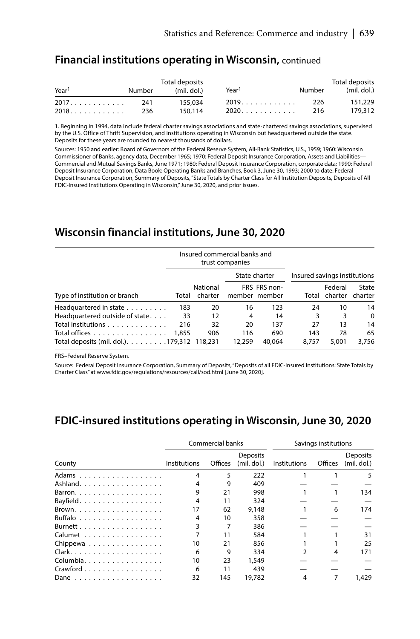#### **Financial institutions operating in Wisconsin,** continued

| Year <sup>1</sup> | Number | Total deposits<br>(mil. dol.) | Year <sup>1</sup> | Number | Total deposits<br>(mil. dol.) |
|-------------------|--------|-------------------------------|-------------------|--------|-------------------------------|
| 2017.             | 241    | 155,034                       | 2019.             | 226    | 151.229                       |
| 2018.             | 236    | 150.114                       | 2020.             | 216    | 179.312                       |

1. Beginning in 1994, data include federal charter savings associations and state-chartered savings associations, supervised by the U.S. Office of Thrift Supervision, and institutions operating in Wisconsin but headquartered outside the state. Deposits for these years are rounded to nearest thousands of dollars.

Sources: 1950 and earlier: Board of Governors of the Federal Reserve System, All-Bank Statistics, U.S., 1959; 1960: Wisconsin Commissioner of Banks, agency data, December 1965; 1970: Federal Deposit Insurance Corporation, Assets and Liabilities**—** Commercial and Mutual Savings Banks, June 1971; 1980: Federal Deposit Insurance Corporation, corporate data; 1990: Federal Deposit Insurance Corporation, Data Book: Operating Banks and Branches, Book 3, June 30, 1993; 2000 to date: Federal Deposit Insurance Corporation, Summary of Deposits, "State Totals by Charter Class for All Institution Deposits, Deposits of All FDIC-Insured Institutions Operating in Wisconsin," June 30, 2020, and prior issues.

#### **Wisconsin financial institutions, June 30, 2020**

|                                                                       |                     | Insured commercial banks and<br>trust companies |                               |              |                              |                  |  |
|-----------------------------------------------------------------------|---------------------|-------------------------------------------------|-------------------------------|--------------|------------------------------|------------------|--|
|                                                                       |                     |                                                 | State charter                 |              | Insured savings institutions |                  |  |
| Type of institution or branch<br>Total                                | National<br>charter |                                                 | FRS FRS non-<br>member member |              | Federal<br>Total charter     | State<br>charter |  |
| Headquartered in state<br>183                                         | 20                  | 16                                              | 123                           | 24           | 10                           | 14               |  |
| Headquartered outside of state<br>33                                  | 12                  | 4                                               | 14                            | 3            | 3                            | $\Omega$         |  |
| Total institutions<br>216                                             | 32                  | 20                                              | 137                           | 27           | 13                           | 14               |  |
| Total offices<br>1,855<br>Total deposits (mil. dol.). 179,312 118,231 | 906                 | 116<br>12,259                                   | 690<br>40.064                 | 143<br>8.757 | 78<br>5.001                  | 65<br>3.756      |  |

FRS–Federal Reserve System.

Source: Federal Deposit Insurance Corporation, Summary of Deposits, "Deposits of all FDIC-Insured Institutions: State Totals by Charter Class" at www.fdic.gov/regulations/resources/call/sod.html [June 30, 2020].

#### **FDIC-insured institutions operating in Wisconsin, June 30, 2020**

|           |              | Commercial banks |                                | Savings institutions |         |                           |
|-----------|--------------|------------------|--------------------------------|----------------------|---------|---------------------------|
| County    | Institutions | Offices          | <b>Deposits</b><br>(mil. dol.) | Institutions         | Offices | Deposits<br>$(mil.$ dol.) |
| Adams     |              | 5                | 222                            |                      |         | 5                         |
| Ashland.  |              | 9                | 409                            |                      |         |                           |
| Barron.   | 9            | 21               | 998                            |                      |         | 134                       |
| Bayfield. | 4            | 11               | 324                            |                      |         |                           |
| Brown.    | 17           | 62               | 9.148                          |                      | 6       | 174                       |
| Buffalo   | 4            | 10               | 358                            |                      |         |                           |
| Burnett   |              |                  | 386                            |                      |         |                           |
| Calumet   |              | 11               | 584                            |                      |         | 31                        |
| Chippewa  | 10           | 21               | 856                            |                      |         | 25                        |
|           | 6            | 9                | 334                            |                      | 4       | 171                       |
| Columbia. | 10           | 23               | 1,549                          |                      |         |                           |
| Crawford  | 6            | 11               | 439                            |                      |         |                           |
|           | 32           | 145              | 19.782                         |                      |         | 1.429                     |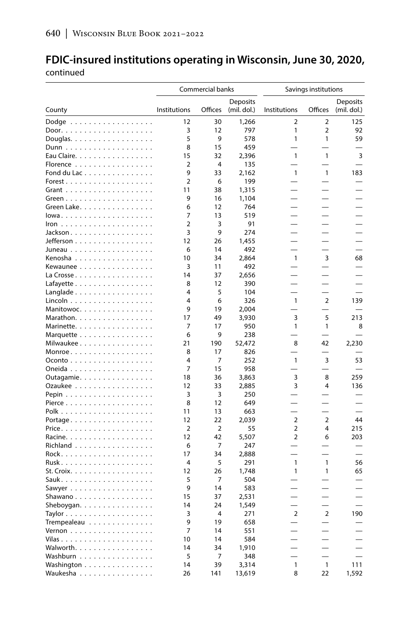#### **FDIC-insured institutions operating in Wisconsin, June 30, 2020,**  continued

|                                                |                | Commercial banks |                 | Savings institutions |                |                 |
|------------------------------------------------|----------------|------------------|-----------------|----------------------|----------------|-----------------|
|                                                |                |                  | <b>Deposits</b> |                      |                | <b>Deposits</b> |
| County                                         | Institutions   | Offices          | (mil. dol.)     | Institutions         | Offices        | (mil. dol.)     |
| Dodge $\ldots \ldots \ldots \ldots \ldots$     | 12             | 30               | 1.266           | 2                    | 2              | 125             |
|                                                | 3              | 12               | 797             | 1                    | $\overline{2}$ | 92              |
| Douglas.                                       | 5              | 9                | 578             | 1                    | 1              | 59              |
|                                                | 8              | 15               | 459             |                      |                |                 |
| Eau Claire.                                    | 15             | 32               | 2,396           | $\mathbf{1}$         | $\mathbf{1}$   | 3               |
| Florence                                       | $\overline{2}$ | 4                | 135             |                      |                |                 |
| Fond du Lac                                    | 9              | 33               | 2,162           | $\mathbf{1}$         | $\mathbf{1}$   | 183             |
| Forest.                                        | $\overline{2}$ | 6                | 199             |                      |                |                 |
|                                                | 11             | 38               | 1,315           |                      |                |                 |
|                                                | 9              | 16               | 1,104           |                      |                |                 |
| Green Lake                                     | 6              | 12               | 764             |                      |                |                 |
|                                                | 7              | 13               | 519             |                      |                |                 |
|                                                | $\overline{2}$ | 3<br>9           | 91              |                      |                |                 |
| Jackson.                                       | 3<br>12        | 26               | 274<br>1,455    |                      |                |                 |
| Jefferson<br>Juneau                            | 6              | 14               | 492             |                      |                |                 |
| Kenosha                                        | 10             | 34               | 2,864           | $\mathbf{1}$         | 3              | 68              |
| Kewaunee                                       | 3              | 11               | 492             |                      |                |                 |
| La Crosse                                      | 14             | 37               | 2,656           |                      |                |                 |
| Lafayette                                      | 8              | 12               | 390             |                      |                |                 |
| Langlade                                       | 4              | 5                | 104             |                      |                |                 |
| Lincoln                                        | 4              | 6                | 326             | 1                    | $\overline{2}$ | 139             |
| Manitowoc.                                     | 9              | 19               | 2,004           |                      |                |                 |
| Marathon.                                      | 17             | 49               | 3,930           | 3                    | 5              | 213             |
| Marinette.                                     | 7              | 17               | 950             | 1                    | 1              | 8               |
| Marquette                                      | 6              | 9                | 238             |                      |                |                 |
| Milwaukee                                      | 21             | 190              | 52,472          | 8                    | 42             | 2,230           |
| $Monroe \ldots \ldots \ldots$                  | 8              | 17               | 826             |                      |                |                 |
| $O$ conto $\ldots \ldots \ldots \ldots \ldots$ | 4              | 7                | 252             | $\mathbf{1}$         | 3              | 53              |
| Oneida                                         | 7              | 15               | 958             |                      |                |                 |
| Outagamie                                      | 18             | 36               | 3,863           | 3                    | 8              | 259             |
| Ozaukee                                        | 12             | 33               | 2,885           | 3                    | $\overline{4}$ | 136             |
|                                                | 3              | 3                | 250             |                      |                |                 |
|                                                | 8              | 12               | 649             |                      |                |                 |
|                                                | 11             | 13               | 663             |                      |                |                 |
| Portage                                        | 12             | 22               | 2.039           | $\overline{2}$       | $\overline{2}$ | 44              |
|                                                | $\overline{2}$ | $\overline{2}$   | 55              | 2                    | 4              | 215             |
| Racine.                                        | 12             | 42               | 5,507           | $\overline{2}$       | 6              | 203             |
| Richland                                       | 6              | 7                | 247             |                      |                |                 |
|                                                | 17             | 34               | 2,888           |                      |                |                 |
|                                                | 4<br>12        | 5                | 291             | 1<br>1               | 1<br>1         | 56<br>65        |
| St. Croix.                                     | 5              | 26<br>7          | 1,748<br>504    |                      |                |                 |
| Sawyer                                         | 9              | 14               | 583             |                      |                |                 |
| Shawano                                        | 15             | 37               | 2,531           |                      |                |                 |
| Sheboygan.                                     | 14             | 24               | 1,549           |                      |                |                 |
|                                                | 3              | 4                | 271             | $\overline{2}$       | $\overline{2}$ | 190             |
| Trempealeau                                    | 9              | 19               | 658             |                      |                |                 |
| <u>Vernon</u>                                  | 7              | 14               | 551             |                      |                |                 |
|                                                | 10             | 14               | 584             |                      |                |                 |
| Walworth.                                      | 14             | 34               | 1,910           |                      |                |                 |
| Washburn                                       | 5              | 7                | 348             |                      |                |                 |
| Washington                                     | 14             | 39               | 3,314           | $\mathbf{1}$         | $\mathbf{1}$   | 111             |
| Waukesha                                       | 26             | 141              | 13,619          | 8                    | 22             | 1,592           |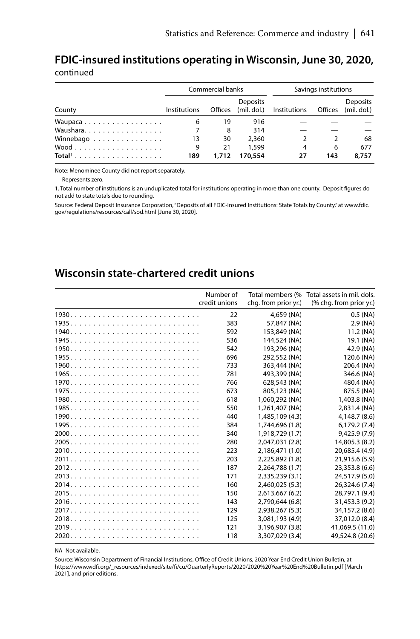#### **FDIC-insured institutions operating in Wisconsin, June 30, 2020,**  continued

|           |              | Commercial banks |          | Savings institutions                                 |     |          |
|-----------|--------------|------------------|----------|------------------------------------------------------|-----|----------|
| County    | Institutions |                  | Deposits | Offices (mil. dol.) Institutions Offices (mil. dol.) |     | Deposits |
| Waupaca   | 6            | 19               | 916      |                                                      |     |          |
| Waushara  |              | 8                | 314      |                                                      |     |          |
| Winnebago | 13           | 30               | 2,360    |                                                      |     | 68       |
|           | 9            | 21               | 1.599    | 4                                                    | 6   | 677      |
| $Total1$  | 189          | 1,712            | 170,554  | 27                                                   | 143 | 8,757    |

Note: Menominee County did not report separately.

— Represents zero.

1. Total number of institutions is an unduplicated total for institutions operating in more than one county. Deposit figures do not add to state totals due to rounding.

Source: Federal Deposit Insurance Corporation, "Deposits of all FDIC-Insured Institutions: State Totals by County," at www.fdic. gov/regulations/resources/call/sod.html [June 30, 2020].

#### **Wisconsin state-chartered credit unions**

| Number of<br>credit unions | Total members (%<br>chg. from prior yr.) | Total assets in mil. dols.<br>(% chg. from prior yr.) |
|----------------------------|------------------------------------------|-------------------------------------------------------|
| 22                         | 4,659 (NA)                               | $0.5$ (NA)                                            |
| 383                        | 57,847 (NA)                              | 2.9(NA)                                               |
| 592                        | 153,849 (NA)                             | 11.2 (NA)                                             |
| 536                        | 144,524 (NA)                             | 19.1 (NA)                                             |
| 542                        | 193.296 (NA)                             | 42.9 (NA)                                             |
| 696                        | 292.552 (NA)                             | 120.6 (NA)                                            |
| 733                        | 363,444 (NA)                             | 206.4 (NA)                                            |
| 781                        | 493.399 (NA)                             | 346.6 (NA)                                            |
| 766                        | 628,543 (NA)                             | 480.4 (NA)                                            |
| 673                        | 805,123 (NA)                             | 875.5 (NA)                                            |
| 618                        | 1.060.292 (NA)                           | 1,403.8 (NA)                                          |
| 550                        | 1,261,407 (NA)                           | 2,831.4 (NA)                                          |
| 440                        | 1,485,109 (4.3)                          | 4.148.7 (8.6)                                         |
| 384                        | 1.744.696 (1.8)                          | 6,179.2(7.4)                                          |
| 340                        | 1.918.729 (1.7)                          | 9.425.9(7.9)                                          |
| 280                        | 2.047.031 (2.8)                          | 14,805.3 (8.2)                                        |
| 223                        | 2,186,471 (1.0)                          | 20,685.4 (4.9)                                        |
| 203                        | 2.225.892 (1.8)                          | 21,915.6 (5.9)                                        |
| 187                        | 2,264,788 (1.7)                          | 23,353.8 (6.6)                                        |
| 171                        | 2.335.239 (3.1)                          | 24,517.9 (5.0)                                        |
| 160                        | 2.460.025 (5.3)                          | 26.324.6 (7.4)                                        |
| 150                        | 2.613.667(6.2)                           | 28,797.1 (9.4)                                        |
| 143                        | 2.790.644 (6.8)                          | 31,453.3 (9.2)                                        |
| 129                        | 2,938,267 (5.3)                          | 34,157.2 (8.6)                                        |
| 125                        | 3.081.193 (4.9)                          | 37.012.0 (8.4)                                        |
| 121                        | 3.196.907 (3.8)                          | 41.069.5 (11.0)                                       |
| 118                        | 3,307,029 (3.4)                          | 49,524.8 (20.6)                                       |

NA–Not available.

Source: Wisconsin Department of Financial Institutions, Office of Credit Unions, 2020 Year End Credit Union Bulletin, at https://www.wdfi.org/\_resources/indexed/site/fi/cu/QuarterlyReports/2020/2020%20Year%20End%20Bulletin.pdf [March 2021], and prior editions.